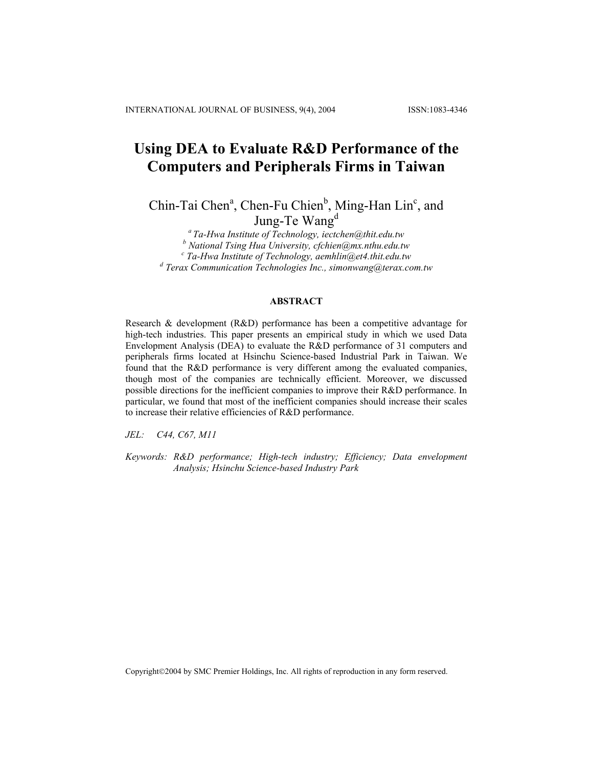# **Using DEA to Evaluate R&D Performance of the Computers and Peripherals Firms in Taiwan**

Chin-Tai Chen<sup>a</sup>, Chen-Fu Chien<sup>b</sup>, Ming-Han Lin<sup>c</sup>, and Jung-Te Wang<sup>d</sup>

*a Ta-Hwa Institute of Technology, iectchen@thit.edu.tw*  <sup>*b*</sup> National Tsing Hua University, cfchien@mx.nthu.edu.tw<br><sup>c</sup> Ta Hua Institute of Tashnology, camblin@ot4.thit.edu.ty  *Ta-Hwa Institute of Technology, aemhlin@et4.thit.edu.tw d Terax Communication Technologies Inc., simonwang@terax.com.tw*

## **ABSTRACT**

Research & development (R&D) performance has been a competitive advantage for high-tech industries. This paper presents an empirical study in which we used Data Envelopment Analysis (DEA) to evaluate the R&D performance of 31 computers and peripherals firms located at Hsinchu Science-based Industrial Park in Taiwan. We found that the R&D performance is very different among the evaluated companies, though most of the companies are technically efficient. Moreover, we discussed possible directions for the inefficient companies to improve their R&D performance. In particular, we found that most of the inefficient companies should increase their scales to increase their relative efficiencies of R&D performance.

*JEL: C44, C67, M11* 

*Keywords: R&D performance; High-tech industry; Efficiency; Data envelopment Analysis; Hsinchu Science-based Industry Park* 

Copyright©2004 by SMC Premier Holdings, Inc. All rights of reproduction in any form reserved.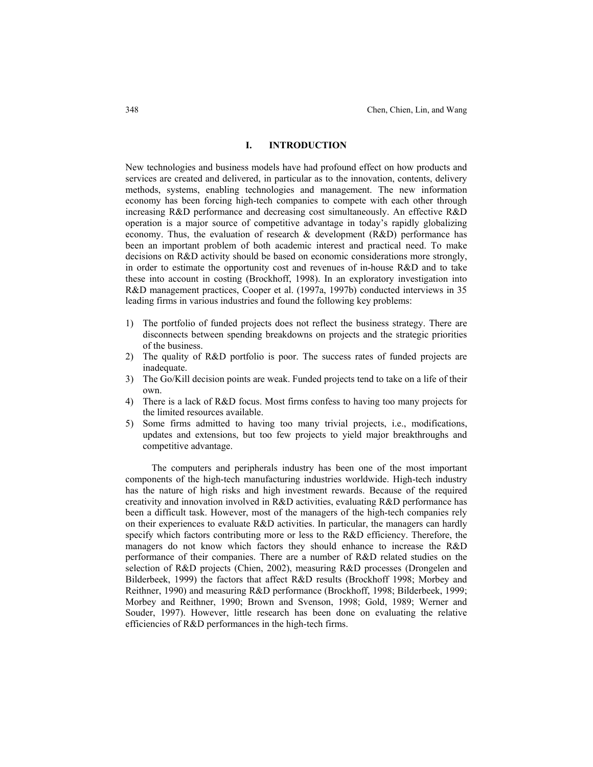# **I. INTRODUCTION**

New technologies and business models have had profound effect on how products and services are created and delivered, in particular as to the innovation, contents, delivery methods, systems, enabling technologies and management. The new information economy has been forcing high-tech companies to compete with each other through increasing R&D performance and decreasing cost simultaneously. An effective R&D operation is a major source of competitive advantage in today's rapidly globalizing economy. Thus, the evaluation of research & development (R&D) performance has been an important problem of both academic interest and practical need. To make decisions on R&D activity should be based on economic considerations more strongly, in order to estimate the opportunity cost and revenues of in-house R&D and to take these into account in costing (Brockhoff, 1998). In an exploratory investigation into R&D management practices, Cooper et al. (1997a, 1997b) conducted interviews in 35 leading firms in various industries and found the following key problems:

- 1) The portfolio of funded projects does not reflect the business strategy. There are disconnects between spending breakdowns on projects and the strategic priorities of the business.
- 2) The quality of R&D portfolio is poor. The success rates of funded projects are inadequate.
- 3) The Go/Kill decision points are weak. Funded projects tend to take on a life of their own.
- 4) There is a lack of R&D focus. Most firms confess to having too many projects for the limited resources available.
- 5) Some firms admitted to having too many trivial projects, i.e., modifications, updates and extensions, but too few projects to yield major breakthroughs and competitive advantage.

The computers and peripherals industry has been one of the most important components of the high-tech manufacturing industries worldwide. High-tech industry has the nature of high risks and high investment rewards. Because of the required creativity and innovation involved in R&D activities, evaluating R&D performance has been a difficult task. However, most of the managers of the high-tech companies rely on their experiences to evaluate R&D activities. In particular, the managers can hardly specify which factors contributing more or less to the R&D efficiency. Therefore, the managers do not know which factors they should enhance to increase the R&D performance of their companies. There are a number of R&D related studies on the selection of R&D projects (Chien, 2002), measuring R&D processes (Drongelen and Bilderbeek, 1999) the factors that affect R&D results (Brockhoff 1998; Morbey and Reithner, 1990) and measuring R&D performance (Brockhoff, 1998; Bilderbeek, 1999; Morbey and Reithner, 1990; Brown and Svenson, 1998; Gold, 1989; Werner and Souder, 1997). However, little research has been done on evaluating the relative efficiencies of R&D performances in the high-tech firms.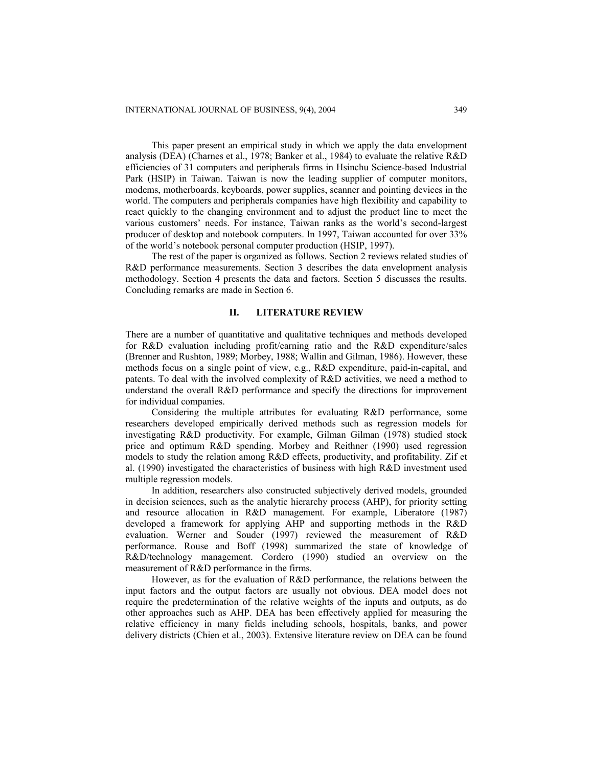This paper present an empirical study in which we apply the data envelopment analysis (DEA) (Charnes et al., 1978; Banker et al., 1984) to evaluate the relative R&D efficiencies of 31 computers and peripherals firms in Hsinchu Science-based Industrial Park (HSIP) in Taiwan. Taiwan is now the leading supplier of computer monitors, modems, motherboards, keyboards, power supplies, scanner and pointing devices in the world. The computers and peripherals companies have high flexibility and capability to react quickly to the changing environment and to adjust the product line to meet the various customers' needs. For instance, Taiwan ranks as the world's second-largest producer of desktop and notebook computers. In 1997, Taiwan accounted for over 33% of the world's notebook personal computer production (HSIP, 1997).

The rest of the paper is organized as follows. Section 2 reviews related studies of R&D performance measurements. Section 3 describes the data envelopment analysis methodology. Section 4 presents the data and factors. Section 5 discusses the results. Concluding remarks are made in Section 6.

## **II. LITERATURE REVIEW**

There are a number of quantitative and qualitative techniques and methods developed for R&D evaluation including profit/earning ratio and the R&D expenditure/sales (Brenner and Rushton, 1989; Morbey, 1988; Wallin and Gilman, 1986). However, these methods focus on a single point of view, e.g., R&D expenditure, paid-in-capital, and patents. To deal with the involved complexity of R&D activities, we need a method to understand the overall R&D performance and specify the directions for improvement for individual companies.

Considering the multiple attributes for evaluating R&D performance, some researchers developed empirically derived methods such as regression models for investigating R&D productivity. For example, Gilman Gilman (1978) studied stock price and optimum R&D spending. Morbey and Reithner (1990) used regression models to study the relation among R&D effects, productivity, and profitability. Zif et al. (1990) investigated the characteristics of business with high R&D investment used multiple regression models.

In addition, researchers also constructed subjectively derived models, grounded in decision sciences, such as the analytic hierarchy process (AHP), for priority setting and resource allocation in R&D management. For example, Liberatore (1987) developed a framework for applying AHP and supporting methods in the R&D evaluation. Werner and Souder (1997) reviewed the measurement of R&D performance. Rouse and Boff (1998) summarized the state of knowledge of R&D/technology management. Cordero (1990) studied an overview on the measurement of R&D performance in the firms.

However, as for the evaluation of R&D performance, the relations between the input factors and the output factors are usually not obvious. DEA model does not require the predetermination of the relative weights of the inputs and outputs, as do other approaches such as AHP. DEA has been effectively applied for measuring the relative efficiency in many fields including schools, hospitals, banks, and power delivery districts (Chien et al., 2003). Extensive literature review on DEA can be found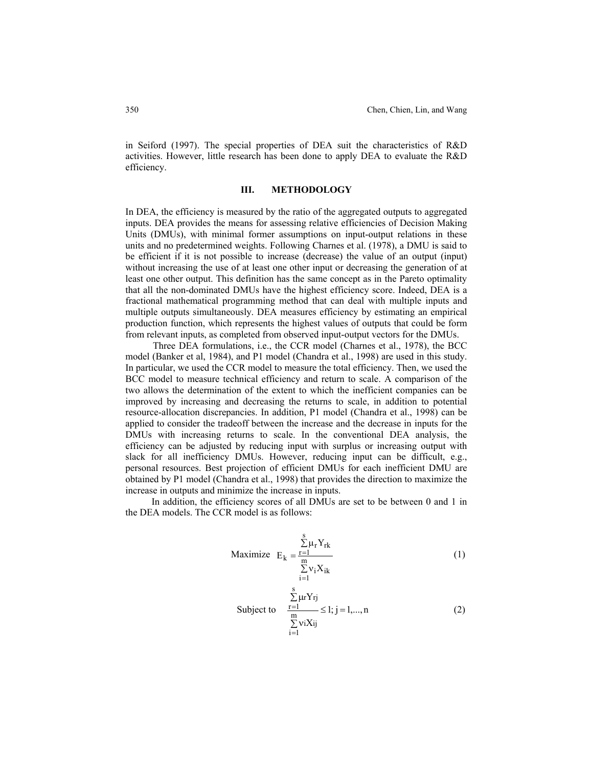in Seiford (1997). The special properties of DEA suit the characteristics of R&D activities. However, little research has been done to apply DEA to evaluate the R&D efficiency.

#### **III. METHODOLOGY**

In DEA, the efficiency is measured by the ratio of the aggregated outputs to aggregated inputs. DEA provides the means for assessing relative efficiencies of Decision Making Units (DMUs), with minimal former assumptions on input-output relations in these units and no predetermined weights. Following Charnes et al. (1978), a DMU is said to be efficient if it is not possible to increase (decrease) the value of an output (input) without increasing the use of at least one other input or decreasing the generation of at least one other output. This definition has the same concept as in the Pareto optimality that all the non-dominated DMUs have the highest efficiency score. Indeed, DEA is a fractional mathematical programming method that can deal with multiple inputs and multiple outputs simultaneously. DEA measures efficiency by estimating an empirical production function, which represents the highest values of outputs that could be form from relevant inputs, as completed from observed input-output vectors for the DMUs.

Three DEA formulations, i.e., the CCR model (Charnes et al., 1978), the BCC model (Banker et al, 1984), and P1 model (Chandra et al., 1998) are used in this study. In particular, we used the CCR model to measure the total efficiency. Then, we used the BCC model to measure technical efficiency and return to scale. A comparison of the two allows the determination of the extent to which the inefficient companies can be improved by increasing and decreasing the returns to scale, in addition to potential resource-allocation discrepancies. In addition, P1 model (Chandra et al., 1998) can be applied to consider the tradeoff between the increase and the decrease in inputs for the DMUs with increasing returns to scale. In the conventional DEA analysis, the efficiency can be adjusted by reducing input with surplus or increasing output with slack for all inefficiency DMUs. However, reducing input can be difficult, e.g., personal resources. Best projection of efficient DMUs for each inefficient DMU are obtained by P1 model (Chandra et al., 1998) that provides the direction to maximize the increase in outputs and minimize the increase in inputs.

In addition, the efficiency scores of all DMUs are set to be between 0 and 1 in the DEA models. The CCR model is as follows:

$$
\text{Maximize} \quad E_{k} = \frac{\sum_{r=1}^{s} \mu_{r} Y_{rk}}{\sum_{i=1}^{m} v_{i} X_{ik}} \tag{1}
$$

$$
\sum_{\substack{\underline{r=1} \\ \underline{m} \\ \underline{r} \\ \underline{v} \\ \underline{i}} \in \underline{N}} Y_{rj}
$$
\nSubject to 
$$
\frac{\sum_{\substack{\underline{r=1} \\ \underline{m} \\ \underline{m} \\ \underline{v} \\ \underline{i}}}} \leq 1; j = 1, ..., n
$$
\n(2)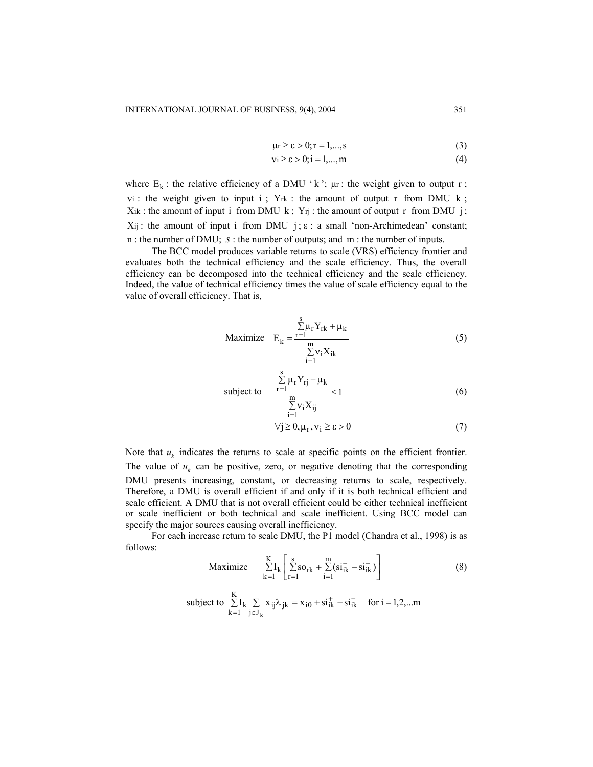$$
\mu r \ge \varepsilon > 0; r = 1, \dots, s \tag{3}
$$

$$
\mathsf{vi} \ge \varepsilon > 0; \mathsf{i} = 1, \dots, \mathsf{m} \tag{4}
$$

where  $E_k$ : the relative efficiency of a DMU 'k';  $\mu$ r : the weight given to output r;  $vi$ : the weight given to input i; Y<sub>rk</sub> : the amount of output r from DMU k;  $X_{ik}$ : the amount of input i from DMU k;  $Y_{rj}$ : the amount of output r from DMU j;  $X_{ij}$ : the amount of input i from DMU  $j$ ;  $\varepsilon$ : a small 'non-Archimedean' constant; n : the number of DMU; *s* : the number of outputs; and m : the number of inputs.

The BCC model produces variable returns to scale (VRS) efficiency frontier and evaluates both the technical efficiency and the scale efficiency. Thus, the overall efficiency can be decomposed into the technical efficiency and the scale efficiency. Indeed, the value of technical efficiency times the value of scale efficiency equal to the value of overall efficiency. That is,

$$
\text{Maximize} \quad \mathbf{E}_{k} = \frac{\sum_{r=1}^{s} \mu_{r} Y_{rk} + \mu_{k}}{\sum_{i=1}^{m} v_{i} X_{ik}} \tag{5}
$$

subject to 
$$
\frac{\sum_{r=1}^{s} \mu_r Y_{rj} + \mu_k}{\sum_{i=1}^{m} v_i X_{ij}} \le 1
$$
 (6)

$$
\forall j \ge 0, \mu_r, \nu_i \ge \varepsilon > 0 \tag{7}
$$

Note that  $u_k$  indicates the returns to scale at specific points on the efficient frontier. The value of  $u_k$  can be positive, zero, or negative denoting that the corresponding DMU presents increasing, constant, or decreasing returns to scale, respectively. Therefore, a DMU is overall efficient if and only if it is both technical efficient and scale efficient. A DMU that is not overall efficient could be either technical inefficient or scale inefficient or both technical and scale inefficient. Using BCC model can specify the major sources causing overall inefficiency.

For each increase return to scale DMU, the P1 model (Chandra et al., 1998) is as follows:

Maximize 
$$
\sum_{k=1}^{K} I_k \left[ \sum_{r=1}^{s} so_{rk} + \sum_{i=1}^{m} (si_{ik}^- - si_{ik}^+) \right]
$$
 (8)

subject to 
$$
\sum_{k=1}^{K} I_k \sum_{j \in J_k} x_{ij} \lambda_{jk} = x_{i0} + si_{ik}^+ - si_{ik}^- \text{ for } i = 1, 2, ...
$$
m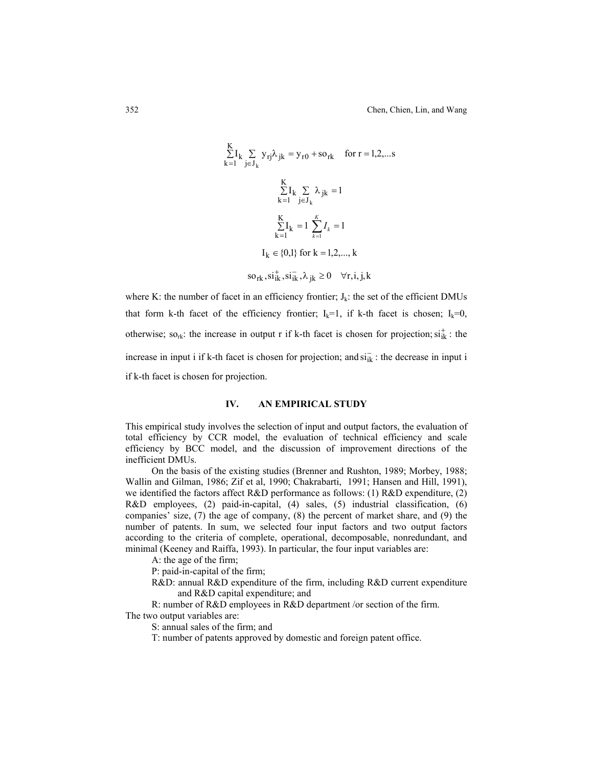$$
\sum_{k=1}^{K} I_k \sum_{j \in J_k} y_{rj} \lambda_{jk} = y_{r0} + so_{rk} \quad \text{for } r = 1, 2, ...
$$
  

$$
\sum_{k=1}^{K} I_k \sum_{j \in J_k} \lambda_{jk} = 1
$$
  

$$
\sum_{k=1}^{K} I_k = 1 \sum_{k=1}^{K} I_k = 1
$$
  

$$
I_k \in \{0, 1\} \text{ for } k = 1, 2, ..., k
$$
  
so<sub>rk</sub>, si<sub>ik</sub><sup>+</sup>, si<sub>ik</sub><sup>-</sup>,  $\lambda_{jk} \ge 0 \quad \forall r, i, j, k$ 

where K: the number of facet in an efficiency frontier;  $J_k$ : the set of the efficient DMUs that form k-th facet of the efficiency frontier;  $I_k=1$ , if k-th facet is chosen;  $I_k=0$ , otherwise; so<sub>rk</sub>: the increase in output r if k-th facet is chosen for projection;  $si_{ik}^+$ : the increase in input i if k-th facet is chosen for projection; and  $s\bar{i}_k$ : the decrease in input i if k-th facet is chosen for projection.

# **IV. AN EMPIRICAL STUDY**

This empirical study involves the selection of input and output factors, the evaluation of total efficiency by CCR model, the evaluation of technical efficiency and scale efficiency by BCC model, and the discussion of improvement directions of the inefficient DMUs.

On the basis of the existing studies (Brenner and Rushton, 1989; Morbey, 1988; Wallin and Gilman, 1986; Zif et al, 1990; Chakrabarti, 1991; Hansen and Hill, 1991), we identified the factors affect R&D performance as follows: (1) R&D expenditure, (2) R&D employees, (2) paid-in-capital, (4) sales, (5) industrial classification, (6) companies' size, (7) the age of company, (8) the percent of market share, and (9) the number of patents. In sum, we selected four input factors and two output factors according to the criteria of complete, operational, decomposable, nonredundant, and minimal (Keeney and Raiffa, 1993). In particular, the four input variables are:

A: the age of the firm;

P: paid-in-capital of the firm;

R&D: annual R&D expenditure of the firm, including R&D current expenditure and R&D capital expenditure; and

R: number of R&D employees in R&D department /or section of the firm.

The two output variables are:

S: annual sales of the firm; and

T: number of patents approved by domestic and foreign patent office.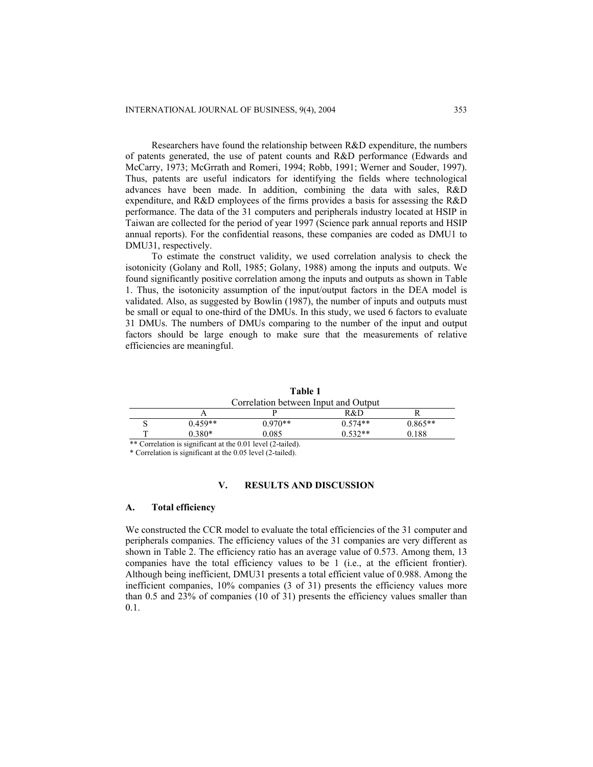Researchers have found the relationship between R&D expenditure, the numbers of patents generated, the use of patent counts and R&D performance (Edwards and McCarry, 1973; McGrrath and Romeri, 1994; Robb, 1991; Werner and Souder, 1997). Thus, patents are useful indicators for identifying the fields where technological advances have been made. In addition, combining the data with sales, R&D expenditure, and R&D employees of the firms provides a basis for assessing the R&D performance. The data of the 31 computers and peripherals industry located at HSIP in Taiwan are collected for the period of year 1997 (Science park annual reports and HSIP annual reports). For the confidential reasons, these companies are coded as DMU1 to DMU31, respectively.

To estimate the construct validity, we used correlation analysis to check the isotonicity (Golany and Roll, 1985; Golany, 1988) among the inputs and outputs. We found significantly positive correlation among the inputs and outputs as shown in Table 1. Thus, the isotonicity assumption of the input/output factors in the DEA model is validated. Also, as suggested by Bowlin (1987), the number of inputs and outputs must be small or equal to one-third of the DMUs. In this study, we used 6 factors to evaluate 31 DMUs. The numbers of DMUs comparing to the number of the input and output factors should be large enough to make sure that the measurements of relative efficiencies are meaningful.

|   |                                      | Table 1   |           |           |  |  |  |
|---|--------------------------------------|-----------|-----------|-----------|--|--|--|
|   | Correlation between Input and Output |           |           |           |  |  |  |
|   |                                      |           | R&D       |           |  |  |  |
| S | $0.459**$                            | $0.970**$ | $0.574**$ | $0.865**$ |  |  |  |
|   | $0.380*$                             | 0.085     | $0.532**$ | 0.188     |  |  |  |

\*\* Correlation is significant at the 0.01 level (2-tailed). \* Correlation is significant at the 0.05 level (2-tailed).

#### **V. RESULTS AND DISCUSSION**

#### **A. Total efficiency**

We constructed the CCR model to evaluate the total efficiencies of the 31 computer and peripherals companies. The efficiency values of the 31 companies are very different as shown in Table 2. The efficiency ratio has an average value of 0.573. Among them, 13 companies have the total efficiency values to be 1 (i.e., at the efficient frontier). Although being inefficient, DMU31 presents a total efficient value of 0.988. Among the inefficient companies, 10% companies (3 of 31) presents the efficiency values more than 0.5 and 23% of companies (10 of 31) presents the efficiency values smaller than 0.1.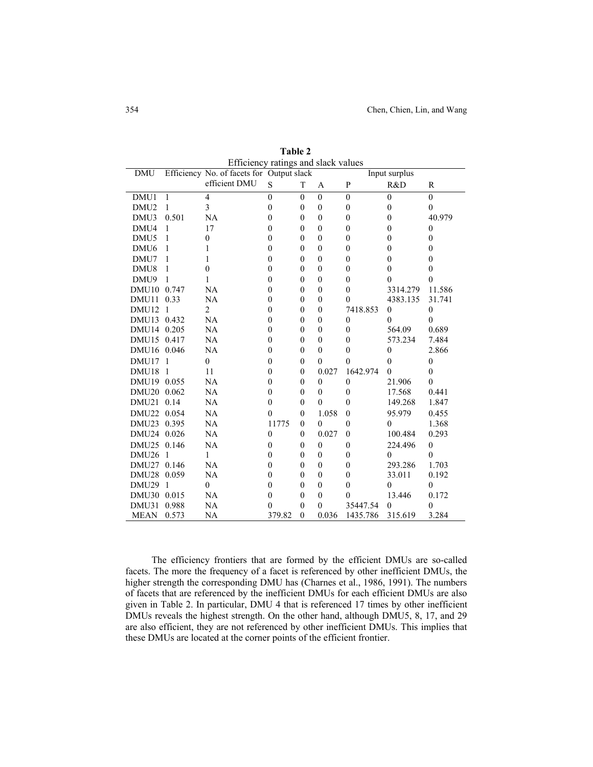| <b>DMU</b>        |                | ETTICIOICY Tamigs and stack values<br>Efficiency No. of facets for Output slack |                  |              |              |                | Input surplus    |                |
|-------------------|----------------|---------------------------------------------------------------------------------|------------------|--------------|--------------|----------------|------------------|----------------|
|                   |                | efficient DMU                                                                   | $\mathbf S$      | T            | A            | $\mathbf{P}$   | R&D              | R              |
| DMU1              | 1              | $\overline{4}$                                                                  | $\mathbf{0}$     | $\theta$     | $\theta$     | $\mathbf{0}$   | $\mathbf{0}$     | $\mathbf{0}$   |
| DMU <sub>2</sub>  | 1              | 3                                                                               | $\mathbf{0}$     | $\mathbf{0}$ | $\mathbf{0}$ | $\mathbf{0}$   | $\mathbf{0}$     | $\mathbf{0}$   |
| DMU3              | 0.501          | NA                                                                              | $\mathbf{0}$     | $\theta$     | $\theta$     | $\theta$       | $\mathbf{0}$     | 40.979         |
| DMU4              | 1              | 17                                                                              | $\mathbf{0}$     | $\theta$     | $\theta$     | $\theta$       | $\boldsymbol{0}$ | $\overline{0}$ |
| DMU <sub>5</sub>  | 1              | $\mathbf{0}$                                                                    | $\boldsymbol{0}$ | $\theta$     | $\mathbf{0}$ | $\mathbf{0}$   | $\boldsymbol{0}$ | $\mathbf{0}$   |
| DMU <sub>6</sub>  | 1              | 1                                                                               | $\boldsymbol{0}$ | $\theta$     | $\mathbf{0}$ | $\mathbf{0}$   | $\boldsymbol{0}$ | $\theta$       |
| DMU7              | 1              | 1                                                                               | $\mathbf{0}$     | $\mathbf{0}$ | $\mathbf{0}$ | $\mathbf{0}$   | $\mathbf{0}$     | $\mathbf{0}$   |
| DMU8              | 1              | $\mathbf{0}$                                                                    | $\boldsymbol{0}$ | $\mathbf{0}$ | $\mathbf{0}$ | $\mathbf{0}$   | $\boldsymbol{0}$ | $\mathbf{0}$   |
| DMU9              | 1              | 1                                                                               | $\mathbf{0}$     | $\theta$     | $\mathbf{0}$ | $\theta$       | $\mathbf{0}$     | $\theta$       |
| DMU <sub>10</sub> | 0.747          | NA                                                                              | $\mathbf{0}$     | $\theta$     | $\mathbf{0}$ | $\theta$       | 3314.279         | 11.586         |
| DMU11             | 0.33           | NA                                                                              | $\mathbf{0}$     | $\theta$     | $\theta$     | $\theta$       | 4383.135         | 31.741         |
| DMU12             | $\mathbf{1}$   | $\overline{2}$                                                                  | $\mathbf{0}$     | $\theta$     | $\theta$     | 7418.853       | $\boldsymbol{0}$ | $\mathbf{0}$   |
| DMU <sub>13</sub> | 0.432          | NA                                                                              | $\mathbf{0}$     | $\theta$     | $\mathbf{0}$ | $\mathbf{0}$   | $\theta$         | $\theta$       |
| DMU14 0.205       |                | NA                                                                              | $\mathbf{0}$     | $\theta$     | $\mathbf{0}$ | $\theta$       | 564.09           | 0.689          |
| DMU15 0.417       |                | NA                                                                              | $\mathbf{0}$     | $\theta$     | $\mathbf{0}$ | $\mathbf{0}$   | 573.234          | 7.484          |
| DMU16 0.046       |                | NA                                                                              | $\mathbf{0}$     | $\theta$     | $\mathbf{0}$ | $\mathbf{0}$   | $\boldsymbol{0}$ | 2.866          |
| DMU17             | $\overline{1}$ | $\mathbf{0}$                                                                    | $\mathbf{0}$     | $\theta$     | $\theta$     | $\theta$       | $\boldsymbol{0}$ | $\mathbf{0}$   |
| DMU <sub>18</sub> | $\overline{1}$ | 11                                                                              | $\mathbf{0}$     | $\theta$     | 0.027        | 1642.974       | $\mathbf{0}$     | $\theta$       |
| DMU19 0.055       |                | NA                                                                              | $\mathbf{0}$     | $\theta$     | $\mathbf{0}$ | $\mathbf{0}$   | 21.906           | $\theta$       |
| DMU20 0.062       |                | NA                                                                              | $\boldsymbol{0}$ | $\mathbf{0}$ | $\mathbf{0}$ | $\mathbf{0}$   | 17.568           | 0.441          |
| DMU21             | 0.14           | NA                                                                              | $\mathbf{0}$     | $\mathbf{0}$ | $\mathbf{0}$ | $\theta$       | 149.268          | 1.847          |
| DMU22             | 0.054          | NA                                                                              | $\mathbf{0}$     | $\theta$     | 1.058        | $\theta$       | 95.979           | 0.455          |
| DMU <sub>23</sub> | 0.395          | NA                                                                              | 11775            | $\theta$     | $\theta$     | $\theta$       | $\mathbf{0}$     | 1.368          |
| DMU24 0.026       |                | NA                                                                              | $\boldsymbol{0}$ | $\theta$     | 0.027        | $\theta$       | 100.484          | 0.293          |
| DMU25 0.146       |                | NA                                                                              | $\mathbf{0}$     | $\mathbf{0}$ | $\mathbf{0}$ | $\overline{0}$ | 224.496          | $\mathbf{0}$   |
| DMU <sub>26</sub> | $\overline{1}$ | 1                                                                               | $\mathbf{0}$     | $\theta$     | $\mathbf{0}$ | $\mathbf{0}$   | $\theta$         | $\theta$       |
| DMU27             | 0.146          | NA                                                                              | $\mathbf{0}$     | $\theta$     | $\mathbf{0}$ | $\theta$       | 293.286          | 1.703          |
| DMU28             | 0.059          | NA                                                                              | $\mathbf{0}$     | $\mathbf{0}$ | $\mathbf{0}$ | $\mathbf{0}$   | 33.011           | 0.192          |
| DMU29             | $\mathbf{1}$   | $\mathbf{0}$                                                                    | $\theta$         | $\theta$     | $\theta$     | $\theta$       | $\theta$         | $\theta$       |
| DMU <sub>30</sub> | 0.015          | NA                                                                              | $\mathbf{0}$     | $\theta$     | $\theta$     | $\theta$       | 13.446           | 0.172          |
| DMU31             | 0.988          | NA                                                                              | 0                | $\theta$     | $\theta$     | 35447.54       | $\mathbf{0}$     | $\theta$       |
| <b>MEAN</b>       | 0.573          | NA                                                                              | 379.82           | $\theta$     | 0.036        | 1435.786       | 315.619          | 3.284          |

**Table 2** Efficiency ratings and slack values

The efficiency frontiers that are formed by the efficient DMUs are so-called facets. The more the frequency of a facet is referenced by other inefficient DMUs, the higher strength the corresponding DMU has (Charnes et al., 1986, 1991). The numbers of facets that are referenced by the inefficient DMUs for each efficient DMUs are also given in Table 2. In particular, DMU 4 that is referenced 17 times by other inefficient DMUs reveals the highest strength. On the other hand, although DMU5, 8, 17, and 29 are also efficient, they are not referenced by other inefficient DMUs. This implies that these DMUs are located at the corner points of the efficient frontier.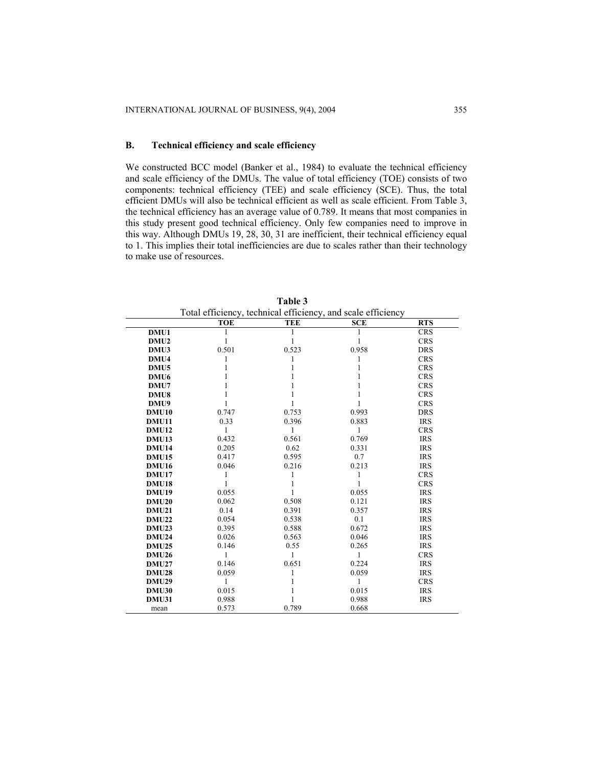# **B. Technical efficiency and scale efficiency**

We constructed BCC model (Banker et al., 1984) to evaluate the technical efficiency and scale efficiency of the DMUs. The value of total efficiency (TOE) consists of two components: technical efficiency (TEE) and scale efficiency (SCE). Thus, the total efficient DMUs will also be technical efficient as well as scale efficient. From Table 3, the technical efficiency has an average value of 0.789. It means that most companies in this study present good technical efficiency. Only few companies need to improve in this way. Although DMUs 19, 28, 30, 31 are inefficient, their technical efficiency equal to 1. This implies their total inefficiencies are due to scales rather than their technology to make use of resources.

|                   | Total efficiency, technical efficiency, and scale efficiency |            |            |            |
|-------------------|--------------------------------------------------------------|------------|------------|------------|
|                   | <b>TOE</b>                                                   | <b>TEE</b> | <b>SCE</b> | <b>RTS</b> |
| DMU1              |                                                              |            |            | <b>CRS</b> |
| DMU2              | 1                                                            |            | 1          | <b>CRS</b> |
| DMU3              | 0.501                                                        | 0.523      | 0.958      | <b>DRS</b> |
| DMU <sub>4</sub>  | 1                                                            |            | 1          | <b>CRS</b> |
| DMU <sub>5</sub>  |                                                              |            |            | <b>CRS</b> |
| DMU <sub>6</sub>  |                                                              |            |            | <b>CRS</b> |
| DMU7              |                                                              |            |            | <b>CRS</b> |
| DMU8              |                                                              |            |            | <b>CRS</b> |
| DMU9              |                                                              |            |            | <b>CRS</b> |
| <b>DMU10</b>      | 0.747                                                        | 0.753      | 0.993      | <b>DRS</b> |
| <b>DMU11</b>      | 0.33                                                         | 0.396      | 0.883      | <b>IRS</b> |
| <b>DMU12</b>      | 1                                                            |            | 1          | <b>CRS</b> |
| DMU <sub>13</sub> | 0.432                                                        | 0.561      | 0.769      | <b>IRS</b> |
| <b>DMU14</b>      | 0.205                                                        | 0.62       | 0.331      | <b>IRS</b> |
| <b>DMU15</b>      | 0.417                                                        | 0.595      | 0.7        | <b>IRS</b> |
| <b>DMU16</b>      | 0.046                                                        | 0.216      | 0.213      | <b>IRS</b> |
| <b>DMU17</b>      |                                                              |            |            | <b>CRS</b> |
| <b>DMU18</b>      | 1                                                            |            |            | <b>CRS</b> |
| <b>DMU19</b>      | 0.055                                                        |            | 0.055      | <b>IRS</b> |
| <b>DMU20</b>      | 0.062                                                        | 0.508      | 0.121      | <b>IRS</b> |
| <b>DMU21</b>      | 0.14                                                         | 0.391      | 0.357      | <b>IRS</b> |
| <b>DMU22</b>      | 0.054                                                        | 0.538      | 0.1        | <b>IRS</b> |
| <b>DMU23</b>      | 0.395                                                        | 0.588      | 0.672      | <b>IRS</b> |
| <b>DMU24</b>      | 0.026                                                        | 0.563      | 0.046      | <b>IRS</b> |
| <b>DMU25</b>      | 0.146                                                        | 0.55       | 0.265      | <b>IRS</b> |
| <b>DMU26</b>      | 1                                                            |            | 1          | <b>CRS</b> |
| <b>DMU27</b>      | 0.146                                                        | 0.651      | 0.224      | <b>IRS</b> |
| <b>DMU28</b>      | 0.059                                                        |            | 0.059      | <b>IRS</b> |
| <b>DMU29</b>      | 1                                                            |            | 1          | <b>CRS</b> |
| DMU30             | 0.015                                                        |            | 0.015      | <b>IRS</b> |
| <b>DMU31</b>      | 0.988                                                        |            | 0.988      | <b>IRS</b> |
| mean              | 0.573                                                        | 0.789      | 0.668      |            |

| m<br>æ<br>''<br>n |  |
|-------------------|--|
|-------------------|--|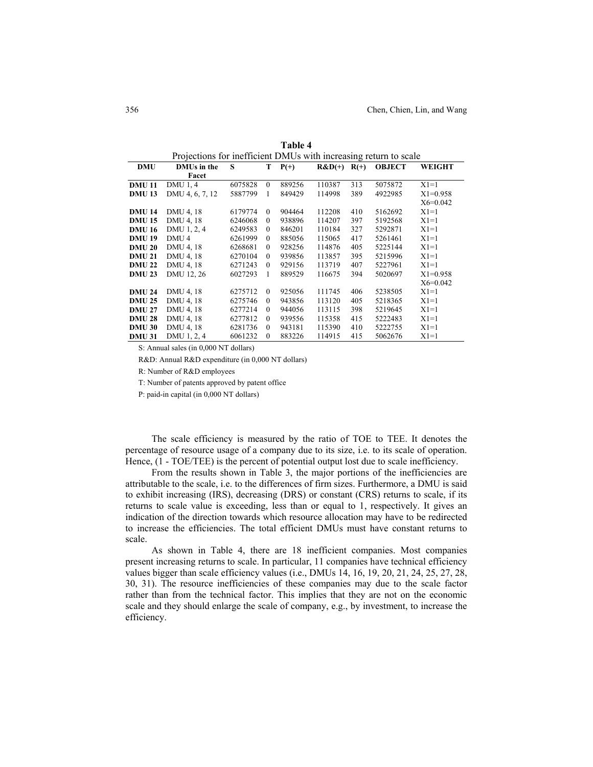| Projections for inefficient DMUs with increasing return to scale |                    |         |          |            |                 |     |               |               |
|------------------------------------------------------------------|--------------------|---------|----------|------------|-----------------|-----|---------------|---------------|
| DMU                                                              | <b>DMUs in the</b> | S       |          | $T$ $P(+)$ | $R&D(+)$ $R(+)$ |     | <b>OBJECT</b> | WEIGHT        |
|                                                                  | Facet              |         |          |            |                 |     |               |               |
| <b>DMU11</b>                                                     | DMU 1, 4           | 6075828 | $\theta$ | 889256     | 110387          | 313 | 5075872       | $X1=1$        |
| <b>DMU13</b>                                                     | DMU 4, 6, 7, 12    | 5887799 | 1        | 849429     | 114998          | 389 | 4922985       | $X1 = 0.958$  |
|                                                                  |                    |         |          |            |                 |     |               | $X_6 = 0.042$ |
| <b>DMU 14</b>                                                    | DMU 4, 18          | 6179774 | $\theta$ | 904464     | 112208          | 410 | 5162692       | $X1=1$        |
| <b>DMU 15</b>                                                    | DMU 4, 18          | 6246068 | $\left($ | 938896     | 114207          | 397 | 5192568       | $X1=1$        |
| <b>DMU 16</b>                                                    | DMU 1, 2, 4        | 6249583 | $\left($ | 846201     | 110184          | 327 | 5292871       | $X1=1$        |
| <b>DMU 19</b>                                                    | DMU <sub>4</sub>   | 6261999 | $\theta$ | 885056     | 115065          | 417 | 5261461       | $X1=1$        |
| <b>DMU 20</b>                                                    | DMU 4, 18          | 6268681 | $\theta$ | 928256     | 114876          | 405 | 5225144       | $X1=1$        |
| <b>DMU 21</b>                                                    | DMU 4, 18          | 6270104 | $\Omega$ | 939856     | 113857          | 395 | 5215996       | $X1=1$        |
| <b>DMU 22</b>                                                    | DMU 4, 18          | 6271243 | $\theta$ | 929156     | 113719          | 407 | 5227961       | $X1=1$        |
| <b>DMU 23</b>                                                    | DMU 12, 26         | 6027293 | 1        | 889529     | 116675          | 394 | 5020697       | $X1 = 0.958$  |
|                                                                  |                    |         |          |            |                 |     |               | $X_6 = 0.042$ |
| <b>DMU 24</b>                                                    | DMU 4, 18          | 6275712 | $\theta$ | 925056     | 111745          | 406 | 5238505       | $X1=1$        |
| <b>DMU 25</b>                                                    | DMU 4, 18          | 6275746 | $\left($ | 943856     | 113120          | 405 | 5218365       | $X1=1$        |
| <b>DMU 27</b>                                                    | DMU 4, 18          | 6277214 | $\theta$ | 944056     | 113115          | 398 | 5219645       | $X1=1$        |
| <b>DMU 28</b>                                                    | DMU 4, 18          | 6277812 | $\theta$ | 939556     | 115358          | 415 | 5222483       | $X1=1$        |
| <b>DMU 30</b>                                                    | DMU 4, 18          | 6281736 | $\theta$ | 943181     | 115390          | 410 | 5222755       | $X1=1$        |
| <b>DMU 31</b>                                                    | DMU 1, 2, 4        | 6061232 | $\theta$ | 883226     | 114915          | 415 | 5062676       | $X1=1$        |

**Table 4**

S: Annual sales (in 0,000 NT dollars)

R&D: Annual R&D expenditure (in 0,000 NT dollars)

R: Number of R&D employees

T: Number of patents approved by patent office

P: paid-in capital (in 0,000 NT dollars)

The scale efficiency is measured by the ratio of TOE to TEE. It denotes the percentage of resource usage of a company due to its size, i.e. to its scale of operation. Hence,  $(1 - TOE/TEE)$  is the percent of potential output lost due to scale inefficiency.

From the results shown in Table 3, the major portions of the inefficiencies are attributable to the scale, i.e. to the differences of firm sizes. Furthermore, a DMU is said to exhibit increasing (IRS), decreasing (DRS) or constant (CRS) returns to scale, if its returns to scale value is exceeding, less than or equal to 1, respectively. It gives an indication of the direction towards which resource allocation may have to be redirected to increase the efficiencies. The total efficient DMUs must have constant returns to scale.

As shown in Table 4, there are 18 inefficient companies. Most companies present increasing returns to scale. In particular, 11 companies have technical efficiency values bigger than scale efficiency values (i.e., DMUs 14, 16, 19, 20, 21, 24, 25, 27, 28, 30, 31). The resource inefficiencies of these companies may due to the scale factor rather than from the technical factor. This implies that they are not on the economic scale and they should enlarge the scale of company, e.g., by investment, to increase the efficiency.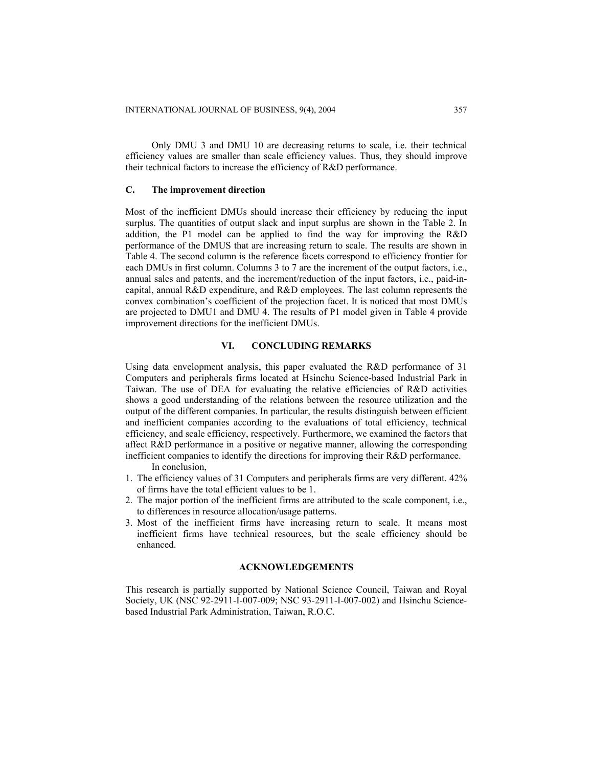Only DMU 3 and DMU 10 are decreasing returns to scale, i.e. their technical efficiency values are smaller than scale efficiency values. Thus, they should improve their technical factors to increase the efficiency of R&D performance.

## **C. The improvement direction**

Most of the inefficient DMUs should increase their efficiency by reducing the input surplus. The quantities of output slack and input surplus are shown in the Table 2. In addition, the P1 model can be applied to find the way for improving the R&D performance of the DMUS that are increasing return to scale. The results are shown in Table 4. The second column is the reference facets correspond to efficiency frontier for each DMUs in first column. Columns 3 to 7 are the increment of the output factors, i.e., annual sales and patents, and the increment/reduction of the input factors, i.e., paid-incapital, annual R&D expenditure, and R&D employees. The last column represents the convex combination's coefficient of the projection facet. It is noticed that most DMUs are projected to DMU1 and DMU 4. The results of P1 model given in Table 4 provide improvement directions for the inefficient DMUs.

# **VI. CONCLUDING REMARKS**

Using data envelopment analysis, this paper evaluated the R&D performance of 31 Computers and peripherals firms located at Hsinchu Science-based Industrial Park in Taiwan. The use of DEA for evaluating the relative efficiencies of R&D activities shows a good understanding of the relations between the resource utilization and the output of the different companies. In particular, the results distinguish between efficient and inefficient companies according to the evaluations of total efficiency, technical efficiency, and scale efficiency, respectively. Furthermore, we examined the factors that affect R&D performance in a positive or negative manner, allowing the corresponding inefficient companies to identify the directions for improving their R&D performance.

In conclusion,

- 1. The efficiency values of 31 Computers and peripherals firms are very different. 42% of firms have the total efficient values to be 1.
- 2. The major portion of the inefficient firms are attributed to the scale component, i.e., to differences in resource allocation/usage patterns.
- 3. Most of the inefficient firms have increasing return to scale. It means most inefficient firms have technical resources, but the scale efficiency should be enhanced.

## **ACKNOWLEDGEMENTS**

This research is partially supported by National Science Council, Taiwan and Royal Society, UK (NSC 92-2911-I-007-009; NSC 93-2911-I-007-002) and Hsinchu Sciencebased Industrial Park Administration, Taiwan, R.O.C.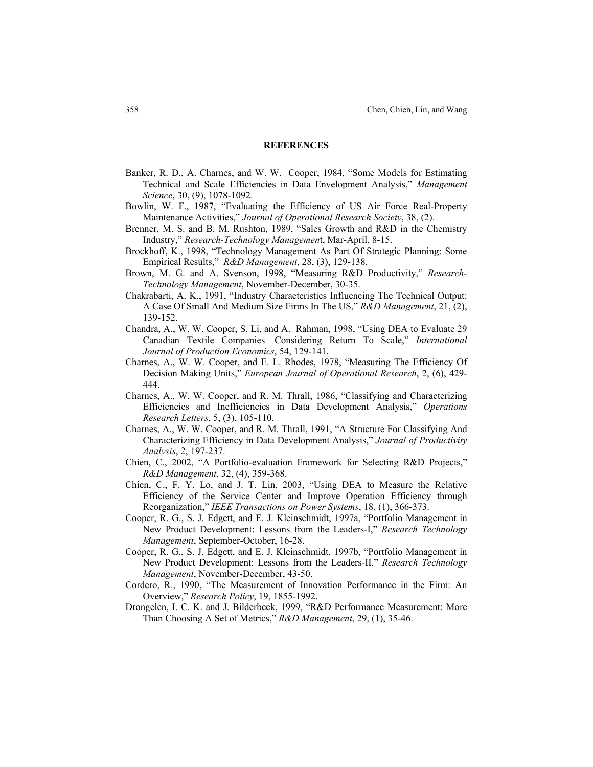#### **REFERENCES**

- Banker, R. D., A. Charnes, and W. W. Cooper, 1984, "Some Models for Estimating Technical and Scale Efficiencies in Data Envelopment Analysis," *Management Science*, 30, (9), 1078-1092.
- Bowlin, W. F., 1987, "Evaluating the Efficiency of US Air Force Real-Property Maintenance Activities," *Journal of Operational Research Society*, 38, (2).
- Brenner, M. S. and B. M. Rushton, 1989, "Sales Growth and R&D in the Chemistry Industry," *Research-Technology Managemen*t, Mar-April, 8-15.
- Brockhoff, K., 1998, "Technology Management As Part Of Strategic Planning: Some Empirical Results," *R&D Management*, 28, (3), 129-138.
- Brown, M. G. and A. Svenson, 1998, "Measuring R&D Productivity," *Research-Technology Management*, November-December, 30-35.
- Chakrabarti, A. K., 1991, "Industry Characteristics Influencing The Technical Output: A Case Of Small And Medium Size Firms In The US," *R&D Management*, 21, (2), 139-152.
- Chandra, A., W. W. Cooper, S. Li, and A. Rahman, 1998, "Using DEA to Evaluate 29 Canadian Textile Companies—Considering Return To Scale," *International Journal of Production Economics*, 54, 129-141.
- Charnes, A., W. W. Cooper, and E. L. Rhodes, 1978, "Measuring The Efficiency Of Decision Making Units," *European Journal of Operational Research*, 2, (6), 429- 444.
- Charnes, A., W. W. Cooper, and R. M. Thrall, 1986, "Classifying and Characterizing Efficiencies and Inefficiencies in Data Development Analysis," *Operations Research Letters*, 5, (3), 105-110.
- Charnes, A., W. W. Cooper, and R. M. Thrall, 1991, "A Structure For Classifying And Characterizing Efficiency in Data Development Analysis," *Journal of Productivity Analysis*, 2, 197-237.
- Chien, C., 2002, "A Portfolio-evaluation Framework for Selecting R&D Projects," *R&D Management*, 32, (4), 359-368.
- Chien, C., F. Y. Lo, and J. T. Lin, 2003, "Using DEA to Measure the Relative Efficiency of the Service Center and Improve Operation Efficiency through Reorganization," *IEEE Transactions on Power Systems*, 18, (1), 366-373.
- Cooper, R. G., S. J. Edgett, and E. J. Kleinschmidt, 1997a, "Portfolio Management in New Product Development: Lessons from the Leaders-I," *Research Technology Management*, September-October, 16-28.
- Cooper, R. G., S. J. Edgett, and E. J. Kleinschmidt, 1997b, "Portfolio Management in New Product Development: Lessons from the Leaders-II," *Research Technology Management*, November-December, 43-50.
- Cordero, R., 1990, "The Measurement of Innovation Performance in the Firm: An Overview," *Research Policy*, 19, 1855-1992.
- Drongelen, I. C. K. and J. Bilderbeek, 1999, "R&D Performance Measurement: More Than Choosing A Set of Metrics," *R&D Management*, 29, (1), 35-46.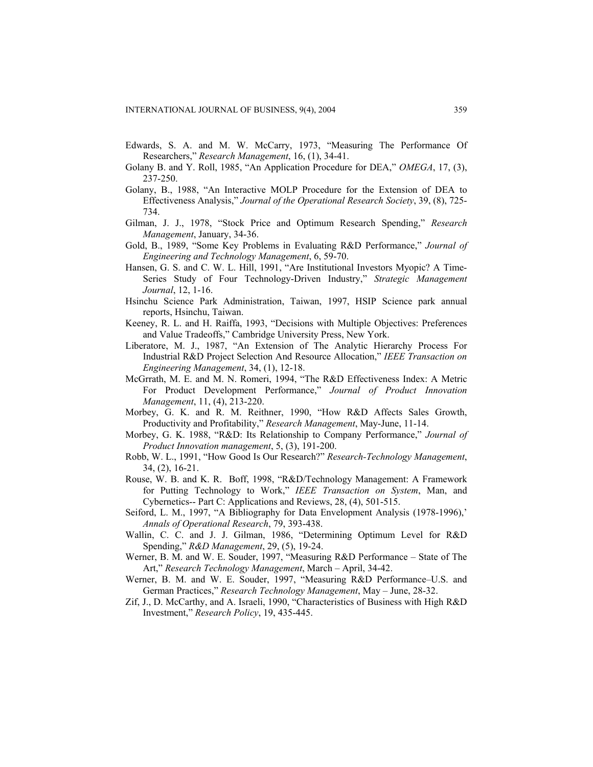- Edwards, S. A. and M. W. McCarry, 1973, "Measuring The Performance Of Researchers," *Research Management*, 16, (1), 34-41.
- Golany B. and Y. Roll, 1985, "An Application Procedure for DEA," *OMEGA*, 17, (3), 237-250.
- Golany, B., 1988, "An Interactive MOLP Procedure for the Extension of DEA to Effectiveness Analysis," *Journal of the Operational Research Society*, 39, (8), 725- 734.
- Gilman, J. J., 1978, "Stock Price and Optimum Research Spending," *Research Management*, January, 34-36.
- Gold, B., 1989, "Some Key Problems in Evaluating R&D Performance," *Journal of Engineering and Technology Management*, 6, 59-70.
- Hansen, G. S. and C. W. L. Hill, 1991, "Are Institutional Investors Myopic? A Time-Series Study of Four Technology-Driven Industry," *Strategic Management Journal*, 12, 1-16.
- Hsinchu Science Park Administration, Taiwan, 1997, HSIP Science park annual reports, Hsinchu, Taiwan.
- Keeney, R. L. and H. Raiffa, 1993, "Decisions with Multiple Objectives: Preferences and Value Tradeoffs," Cambridge University Press, New York.
- Liberatore, M. J., 1987, "An Extension of The Analytic Hierarchy Process For Industrial R&D Project Selection And Resource Allocation," *IEEE Transaction on Engineering Management*, 34, (1), 12-18.
- McGrrath, M. E. and M. N. Romeri, 1994, "The R&D Effectiveness Index: A Metric For Product Development Performance," *Journal of Product Innovation Management*, 11, (4), 213-220.
- Morbey, G. K. and R. M. Reithner, 1990, "How R&D Affects Sales Growth, Productivity and Profitability," *Research Management*, May-June, 11-14.
- Morbey, G. K. 1988, "R&D: Its Relationship to Company Performance," *Journal of Product Innovation management*, 5, (3), 191-200.
- Robb, W. L., 1991, "How Good Is Our Research?" *Research-Technology Management*, 34, (2), 16-21.
- Rouse, W. B. and K. R. Boff, 1998, "R&D/Technology Management: A Framework for Putting Technology to Work," *IEEE Transaction on System*, Man, and Cybernetics-- Part C: Applications and Reviews, 28, (4), 501-515.
- Seiford, L. M., 1997, "A Bibliography for Data Envelopment Analysis (1978-1996),' *Annals of Operational Research*, 79, 393-438.
- Wallin, C. C. and J. J. Gilman, 1986, "Determining Optimum Level for R&D Spending," *R&D Management*, 29, (5), 19-24.
- Werner, B. M. and W. E. Souder, 1997, "Measuring R&D Performance State of The Art," *Research Technology Management*, March – April, 34-42.
- Werner, B. M. and W. E. Souder, 1997, "Measuring R&D Performance–U.S. and German Practices," *Research Technology Management*, May – June, 28-32.
- Zif, J., D. McCarthy, and A. Israeli, 1990, "Characteristics of Business with High R&D Investment," *Research Policy*, 19, 435-445.